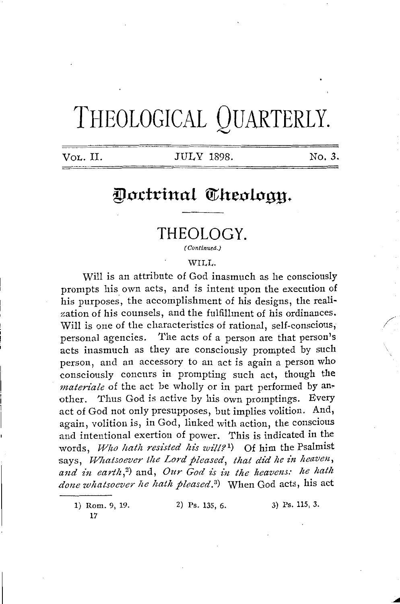# **THEOLOGICAL QUARTERLY.**

#### VoL. II. JULY 1898. No. *3.*

# Doctrinal Theoloan.

# **THEOLOGY.**

(Continued.)

#### WILL.

Will is an attribute of God inasmuch as he consciously prompts his own acts, and is intent upon the execution of his purposes, the accomplishment of his designs, the realization of his counsels, and the fulfillment of his ordinances. Will is one of the characteristics of rational, self-conscious, personal agencies. The acts of a person are that person's acts inasmuch as they are consciously prompted by such person, and an accessory to an act is again a person who consciously concurs in prompting such act, though the *materiale* of the act be wholly or in part performed by another. Thus God is active by his own promptings. Every act of God not only presupposes, but implies volition. And, again, volition is, in God, linked with action, the conscious and intentional exertion of power. This is indicated in the words, Who hath resisted his will?<sup>1</sup>) Of him the Psalmist says, *Whatsoever the Lord pleased, that did he in heaven*, and in earth,<sup>2</sup>) and, *Our God is in the heavens: he hath* done whatsoever he hath pleased.<sup>3</sup>) When God acts, his act

1) Rom. 9, 19. 17

2) Ps. 135, 6. 3) Ps. 115, 3.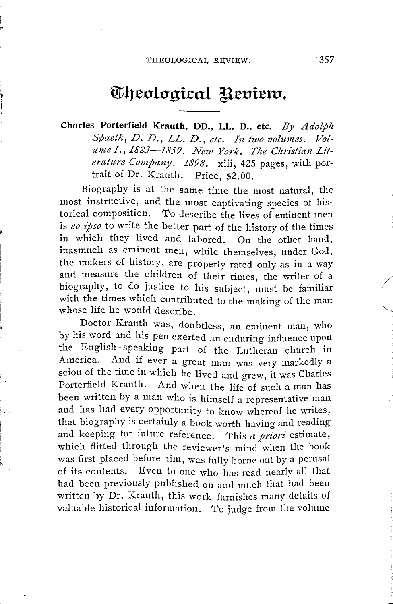# Theological Review.

### Charles Porterfield Krauth, DD., LL. D., etc. *By Adolph* Spaeth, D. D., LL. D., etc. In two volumes. Vol*mneI., 1823-1859. New York. The Christian Literature Company. 1898.* xiii, 425 pages, with portrait of Dr. Krauth. Price, \$2.00.

Biography is at the same time the most natural, the most instructive, and the most captivating species of historical composition. To describe the lives of eminent men is *eo zpso* to write the better part of the history of the times in which they lived and labored. On the other hand, inasmuch as eminent men, while themselves, under God, the makers of history, are properly rated only as in a way and measure the children of their times, the writer of a biography, to do justice to his subject, must be familiar with the times which contributed to the making of the man whose life he would describe.

Doctor Krauth was, doubtless, an eminent man, who by his word and his pen exerted an enduring influence upon the English -speaking part of the Lutheran church in America. And if ever a great man was very markedly a scion of the time in which he lived and grew, it was Charles Porterfield Krauth. And when the life of such a man has been written by a man who is himself a representative man and has had every opportunity to know whereof he writes, that biography is certainly a book worth having and reading and keeping for future reference. This *a priori* estimate, which flitted through the reviewer's mind when the book was first placed before him, was fully borne out by a perusal of its contents. Even to one who has read nearly all that had been previously published on and much that had been written by Dr. Krauth, this work furnishes many details of valuable historical information. To judge from the volume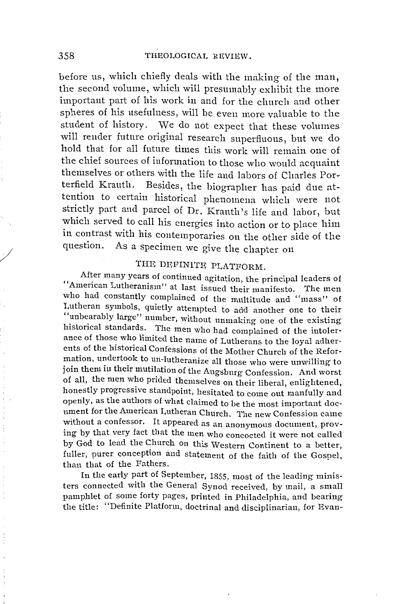before us, which chiefly deals with the making of the man, the second volume, which will presumably exhibit the more important part of his work **in** and for the church and other spheres of his usefulness, will be even more valuable to the student of history. We do not expect that these volumes will render future original research superfluous, but we do hold that for all future times this work will remain one of the chief sources of information to those who would acquaint themselves or others with the life and labors of Charles Porterfield Krauth. Besides, the biographer has paid due attention to certain historical phenomena which were not strictly part and parcel of Dr. Krauth's life and labor, but which served to call his energies into action or to place **him**  in contrast with his contemporaries on the other side of the question. As a specimen we give the chapter on

### THE DEFINITE PLATFORM.

After many years of continued agitation, the principal leaders of "American Lutheranism" at last issued their manifesto. The men who had constantly complained of the multitude and "mass" of Lutheran symbols, quietly attempted to add another one to their "unbearably large" number, without unmaking one of the existing historical standards. The men who had complained of the intolerance of those who limited the name of Lutherans to the loyal adherents of the historical Confessions of the Mother Church of the Reformation, undertook to un-lutheranize all those who were umvilling to join them in their mutilation of the Augsburg Confession. And worst of all, the men who prided themselves on their liberal, enlightened, honestly progressive standpoint, hesitated to come out manfully and openly, as the authors of what claimed to be the most important document for the American I,utheran Church. The new Confession came without a confessor. It appeared as an anonymous document, proving by that very fact that the men who concocted it were not called by God to lead the Church on this Western Continent to a better, fuller, purer conception and statement of the faith of the Gospel, than that of the Fathers.

In the early part of September, 1855, most of the leading ministers connected with the General Synod received, by mail, a small pamphlet of some forty pages, printed in Philadelphia, and bearing the title: "Definite Platform, doctrinal and disciplinarian, for Evan-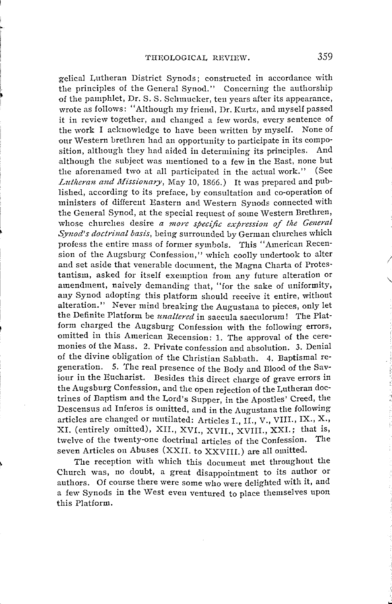gelical Lutheran District Synods; constructed in accordance with the principles of the General Synod." Concerning the authorship of the pamphlet, Dr. S.S. Schmucker, ten years after its appearance, wrote as follows: "Although my friend, Dr. Kurtz, and myself passed it in review together, and changed a few words, every sentence of the work I acknowledge to have been written by myself. None of our Western brethren had an opportunity to participate in its composition, although they had aided in determining its principles. And although the subject was mentioned to a few in the East, none but the aforenamed two at all participated in the actual work." (See *Lutheran and Missionary*, May 10, 1866.) It was prepared and published, according to its preface, by consultation and co-operation of ministers of different Eastern and Western Synods connected with the General Synod, at the special request of some Western Brethren, whose churches desire *a more specific expression of the General Synod's doctrinal basis,* being surrounded by German churches which profess the entire mass of former symbols. This "American Recension of the Augsburg Confession," which coolly undertook to alter and set aside that venerable document, the Magna Charta of Protestantism, asked for itself exemption from any future alteration or amendment, naively demanding that, "for the sake of uniformity, any Synod adopting this platform should receive it entire, without alteration." Never mind breaking the Augustana to pieces, only let the Definite Platform be *unaltered* in saecula saeculorum ! The Platform charged the Augsburg Confession with the following errors, omitted in this American Recension: 1. The approval of the ceremonies of the Mass. 2. Private confession and absolution. 3. Denial of the divine obligation of the Christian Sabbath. 4. Baptismal regeneration. 5. The real presence of the Body and Blood of the Saviour in the Eucharist. Besides this direct charge of grave errors **in**  the Augsburg Confession, and the open rejection of the Lutheran doctrines of Baptism and the Lord's Supper, in the Apostles' Creed, the Descensus ad Inferos is omitted, and in the Augustana the following articles are changed or mutilated: Articles **r.,** II., V., VIII., IX., X., XI. (entirely omitted), XII., XVI., XVII., XVIII., XXL; that is, twelve of the twenty-one doctrinal articles of the Confession. The seven Articles on Abuses (XXII. to XXVIII.) are all omitted.

The reception with which this document met throughout the Church was, no doubt, a great disappointment to its author or authors. Of course there were some who were delighted with it, and a few Synods in the West even ventured to place themselves upon this Platform.

*I*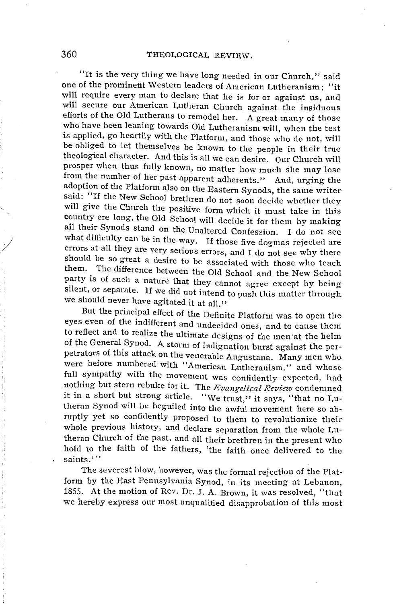"It is the very thing we have long needed in our Church," said one of the prominent Western leaders of American Lutheranism; "it will require every man to declare that he is for or against us, and will secure our American Lutheran Church against the insiduous efforts of the Old Lutherans to remodel her. A great many of those who have been leaning towards Old I,utheranism will, when the test is applied, go heartily with the Platform, and those who do not, will be obliged to let themselves be known to the people in their true theological character. And this is all we can desire. Our Church will prosper when thus fully known, no matter how much she may lose from the number of her past apparent adherents." And, urging the adoption of the Platform also on the Eastern Synods, the same writer said: "If the New School brethren do not soon decide whether they will give the Church the positive form which it must take in this country ere long, the Old School will decide it for them by making all their Synods stand on the Unaltered Confession. I do not see what difficulty can be in the way. If those five dogmas rejected are errors at all they are very serious errors, and I do not see why there should be so great a desire to be associated with those who teach them. The difference between the Old School and the New School party is of such a nature that they cannot agree except by being silent, or separate. If we did not intend to push this matter through we should never have agitated it at all.''

But the principal effect of the Definite Platform was to open the eyes even of the indifferent and undecided ones, and to cause them to reflect and to realize the ultimate designs of the men 'at the helm of the General Synod. A storm of indignation burst against the perpetrators of this attack on the venerable Augustana. Many men who. were before numbered with '' American Lutheranism,'' and whosefull sympathy with the movement was confidently expected, had nothing but stern rebuke for it. The *Evangelical Review* condemned it in a short but strong article. "We trust," it says, "that no Lutheran Synod will be beguiled into the awful movement here so abruptly yet so confidently proposed to them to revolutionize their whole previous history, and declare separation from the whole Lutheran Church of the past, and all their brethren in the present who. hold to the faith of the fathers, 'the faith once delivered to the saints.'"

The severest blow, however, was the formal rejection of the Platform by the East Pennsylvania Synod, in its meeting at Lebanon, 1855. At the motion of Rev. Dr. J. A. Brown, it was resolved, "that we hereby express our most unqualified disapprobation of this most

 $\overline{\phantom{a}}$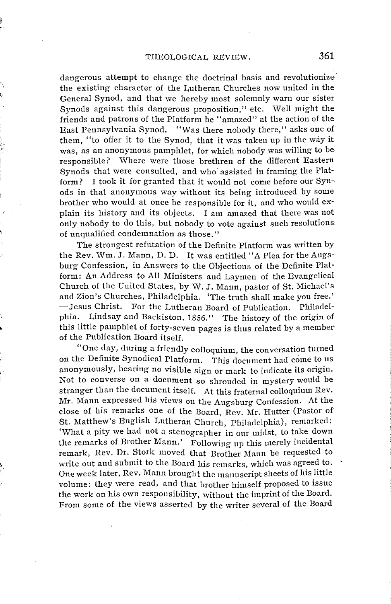dangerous attempt to change the doctrinal basis and revolutionize. the existing character of the Lutheran Churches now united in the General Synod, and that we hereby most solemnly warn our sister Synods against this dangerous proposition," etc. Well might the friends and patrons of the Platform be "amazed" at the action of the East Pennsylvania Synod. "Was there nobody there," asks one of them, "to offer it to the Synod, that it was taken up in the way it was, as an anonymous pamphlet, for which nobody was willing to be responsible? Where were those brethren of the different Eastern Synods that were consulted, and who' assisted in framing the Platform? I took it for granted that it would not come before our Synods in that anonymous way without its being introduced by some brother who would at once be responsible for it, and who would explain its history and its objects. I am amazed that there was not only nobody to do this, but nobody to vote against such resolutions of unqualified condemnation as those.''

r  $\mathcal{L}^{\pm}$ 

l<br>A<br>Le l I

The strongest refutation of the Definite Platform was written by the Rev. Wm. J. Mann, D. D. It was entitled "A Plea for the Augsburg Confession, in Answers to the Objections of the Definite Platform: An Address to All Ministers and I,aymen of the Evangelical Church of the United States, by W. J. Mann, pastor of St. Michael's and Zion's Churches, Philadelphia. 'The truth shall make you free.' -Jesus Christ. For the I,utheran Board of Publication. Philadelphia. Lindsay and Backiston, 1856." The history of the origin of this little pamphlet of forty-seven pages is thus related by a member' of the Publication Board itself.

"One day, during a friendly colloquium, the conversation turned on the Definite Synodical Platform. This document had come to us anonymously, bearing no visible sign or mark to indicate its origin. Not to converse on a document so shrouded in mystery would be stranger than the document itself. At this fraternal colloquium Rev. Mr. Mann expressed his views on the Augsburg Confession. At the close of his remarks one of the Board, Rev. Mr. Hutter (Pastor of St. Matthew's English Lutheran Church, Philadelphia), remarked: 'What a pity we had not a stenographer in our midst, to take down the remarks of Brother Mann.' Following up this merely incidental remark, Rev. Dr. Stork moved that Brother Mann be requested to write out and submit to the Board his remarks, which was agreed to. One week later, Rev. Mann brought the manuscript sheets of his little volume: they were read, and that brother himself proposed to issue the work on his own responsibility, without the imprint of the Board. From some of the views asserted by the writer several of the Board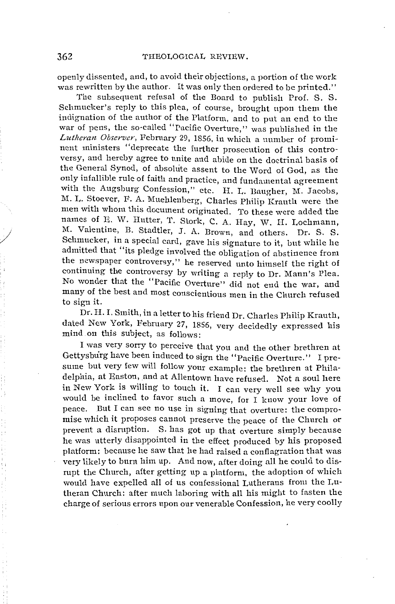openly dissented, and, to avoid their objections, a portion of the work was rewritten by the author. It was only then ordered to be printed.''

The subsequent refusal of the Board to publish Prof. S. S. Schmucker's reply to this plea, of course, brought upon them the indignation of the author of the Platform, and to put an end to the war of pens, the so-called "Pacific Overture," was published in the Lutheran Observer, February 29, 1856, in which a number of prominent ministers "deprecate the further prosecution of this controversy, and hereby agree to unite and abide on the doctrinal basis of the General Synod, of absohite assent to the Word of God, as the only infallible rule of faith and practice, and fundamental agreement with the Augsburg Confession," etc. H. L. Baugher, M. Jacobs, M. L. Stoever, F. A. Muehlenberg, Charles Philip Krauth were the men with whom this document originated. To these were added the names of E. W. Hutter, T. Stork, C. A. Hay, W. H. Lochmann, M. Valentine, B. Stadtler, J. A. Brown, and others. Dr. S. S. Schmucker, in a special card, gave his signature to it, but while he admitted that "its pledge involved the obligation of abstinence from the newspaper controversy," he reserved unto himself the right of continuing the controversy by writing a reply to Dr. Mann's Plea. No wonder that the "Pacific Overture" did not end the war, and many of the best and most conscientious men in the Church refused to sign it.

Dr. H. I. Smith, in a letter to his friend Dr. Charles Philip Krauth, dated New York, February 27, 1856, very decidedly expressed his mind on this subject, as follows:

I was very sorry to perceive that you and the other brethren at Gettysburg have been induced to sign the "Pacific Overture." I presume but very few will follow your example: the brethren at Philadelphia, at Easton, and at Allentown have refused. Not a soul here in New York is willing to touch it. I can very well see why you would be inclined to favor such a move, for I know your love of peace. But I can see no use in signing that overture: the compromise which it proposes cannot preserve the peace of the Church or prevent a disruption. S. has got up that overture simply because he was utterly disappointed in the effect produced by his proposed platform: because he saw that he had raised a conflagration that was very likely to burn him up. And now, after doing all he could to disrupt the Church, after getting up a platform, the adoption of which would have expelled all of us confessional Lutherans from the Lutheran Church: after much laboring with all his might to fasten the charge of serious errors upon our venerable Confession, he very coolly

 $\overline{\mathscr{S}}$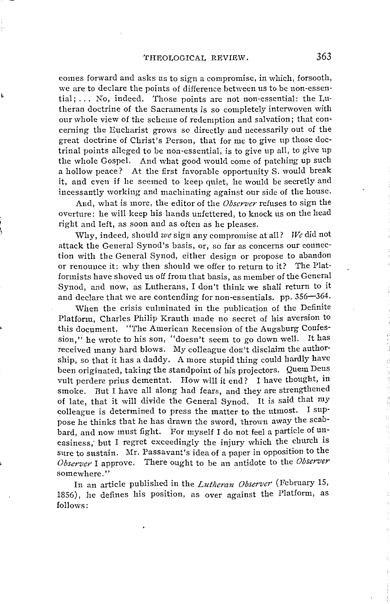comes forward and asks us to sign a compromise, in which, forsooth, we are to declare the points of difference between us to be non-essen $tial; \ldots$  No, indeed. Those points are not non-essential: the Lutheran doctrine of the Sacraments is so completely interwoven with our whole view of the scheme of redemption and salvation; that concerning the Eucharist grows so directly and necessarily out of the great doctrine of Christ's Person, that for me to give up those doctrinal points alleged to be non-essential, is to give up all, to give up the whole Gospel. And what good would come of patching up such a hollow peace? At the first favorable opportunity S. would break it, and even if he seemed to keep quiet, he would be secretly and incessantly working and machinating against our side of the house.

And, what is more, the editor of the *Observer* refuses to sign the overture: he will keep his hands unfettered, to knock us on the head right and left, as soon and as often as he pleases.

vVhy, indeed, should *we* sign any compromise at all? *We* did not attack the General Synod's basis, or, so far as concerns our connection with the General Synod, either design or propose to abandon or renounce it: why then should we offer to return to it? The Platformists have shoved us off from that basis, as member of the General Synod, and now, as Lutherans, I don't think we shall return to it and declare that we are contending for non-essentials. pp. 356-364.

When the crisis culminated in the publication of the Definite Platform, Charles Philip Krauth made no secret of his aversion to this document. ''The American Recension of the Augsburg Confession," be wrote to his son, "doesn't seem to go down well. It has received many bard blows. My colleague don't disclaim the authorship, so that it has a daddy. A more stupid thing could hardly have been originated, taking the standpoint of his projectors. Quem Deus vult perdere prius dementat. How will it end? I have thought, in smoke. But I have all along had fears, and they are strengthened of late, that it will divide the General Synod. It is said that my colleague is determined to press the matter to the utmost. I suppose he thinks that he bas drawn the sword, thrown away the scabbard, and now must fight. For myself I do not feel a particle of uneasiness, but I regret exceedingly the injury which the church is sure to sustain. Mr. Passavant's idea of a paper in opposition to the *Observer* I approve. There ought to be an antidote to the *Observer*  somewhere.''

In an article published in the *Lutheran Observer* (February 15, 1856), he defines his position, as over against the Platform, as follows: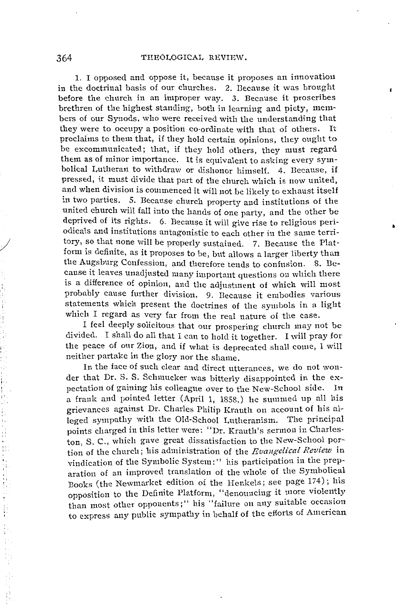1. I opposed and oppose it, because it proposes an innovation in the doctrinal basis of our churches. 2. Because it was brought before the church in an improper way. 3. Because it proscribes brethren of the highest standing, both in learning and piety, members of our Synods, who were received with the understanding that they were to occupy a position co-ordinate with that of others. It proclaims to them that, if they hold certain opinions, they ought to be excommunicated; that, if they hold others, they must regard them as of minor importance. It is equivalent to asking every symbolical Lutheran to withdraw or dishonor himself. 4. Because, if pressed, it must divide that part of the church which is now united, and when division is commenced it will not he likely to exhaust itself in two parties. *5.* Because church property and institutions of the united church will fall into the hands of one party, and the other be deprived of its rights. 6. Because it will give rise to religious periodicals and institutions antagonistic to each other in the same territory, so that none will be properly sustained. 7. Because the Platform is definite, as it proposes to be, hut allows a larger liberty than the Augsburg Confession, and therefore tends to confusion. 8. Because it leaves unadjusted many important questions on which there is a difference of opinion, and the adjustment of which will most probably cause further division. 9. Because it embodies various statements which present the doctrines of the symbols in a light which I regard as very far from the real nature of the case.

I feel deeply solicitous that our prospering church may not be divided. I shall do all that I can to hold it together. I will pray for the peace of our Zion, and if what is deprecated shall come, I will neither partake in the glory nor the shame.

In the face of such clear and direct utterances, we do not wonder that Dr. S. S. Schmucker was bitterly disappointed in the expectation of gaining his colleague over to the New-School side. In a frank and pointed letter (April 1, 1858,) he summed up all his grievances against Dr. Charles Philip Krauth on account of his alleged sympathy with the Old-School Lutheranism. The principal points charged in this letter were: "Dr. Krauth's sermon in Charleston, S. C., which gave great dissatisfaction to the New-School portion of the church; his administration of the *Evangelical Review* in vindication of the Symbolic System:" his participation in the preparation of an improved translation of the whole of the Symbolical Books (the Newmarket edition of the Henkels; see page 174); his opposition to the Definite Platform, "denouncing it more violently than most other opponents;" his "failure on any suitable occasion to express any public sympathy in behalf of the efforts of American

/

 $\frac{1}{3}$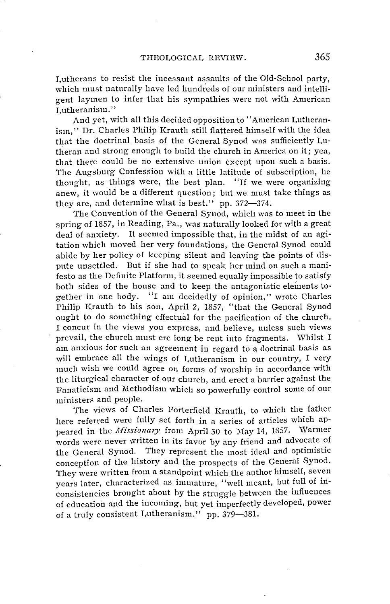Lutherans to resist the incessant assaults of the Old-School party, which must naturally have led hundreds of our ministers and intelligent laymen to infer that his sympathies were not with American Lutheranism.''

And yet, with all this decided opposition to "American Lutheranism," Dr. Charles Philip Krauth still flattered himself with the idea that the doctrinal basis of the General Synod was sufficiently Lutheran and strong enough to build the church in America on it; yea, that there could be no extensive union except upon such a basis. The Augsburg Confession with a little latitude of subscription, he thought, as things were, the best plan. "If we were organizing anew, it would be a different question; but we must take things as they are, and determine what is best." pp. 372-374.

The Convention of the General Synod, which was to meet in the spring of 1857, in Reading, Pa., was naturally looked for with a great deal of anxiety. It seemed impossible that, in the midst of an agitation which moved her very foundations, the General Synod could abide by her policy of keeping silent and leaving the points of dispute unsettled. But if she had to speak her mind on such a manifesto as the Definite Platform, it seemed equally impossible to satisfy both sides of the house and to keep the antagonistic eleinents together in one body. "I am decidedly of opinion," wrote Charles Philip Krauth to his son, April 2, 1857, "that the General Synod ought to do something effectual for the pacification of the church. I concur in the views you express, and believe, unless such views prevail, the church must ere long be rent into fragments. Whilst I am anxious for such an agreement in regard to a doctrinal basis as will embrace all the wings of Lutheranism in our country, I very much wish we could agree on forms of worship in accordance with the liturgical character of our church, and erect a barrier against the Fanaticism and Methodism which so powerfully control some of our ministers and people.

The views of Charles Porterfield Krauth, to which the father here referred were fully set forth in a series of articles which appeared in the Missionary from April 30 to May 14, 1857. Warmer words were never written in its favor by any friend and advocate of the General Synod. They represent the most ideal and optimistic conception of the history and the prospects of the General Synod. They were written from a standpoint which the author himself, seven years later, characterized as immature, "well meant, but full of inconsistencies brought about by the struggle between the influences of education and the incoming, but yet imperfectly developed, power of a truly consistent Lutheranism." pp. 379-381.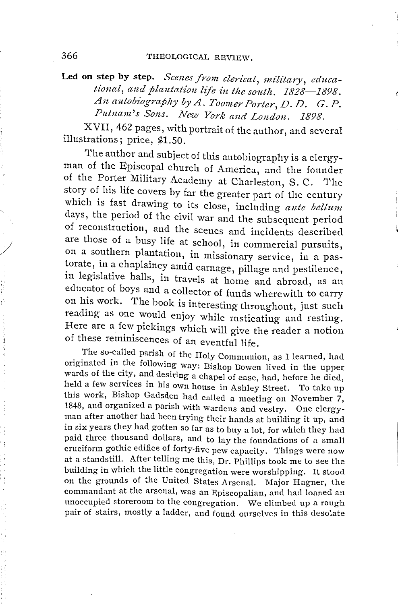### **Led on step by step.** *Scenes from clerical, military, educational, and plantation life in the south.* 1828-1898. *An autobiography by A. Toomer Porter, D. D. G. P. Putnam's Sons. New York and London. 1898.*

XVII, 462 pages, with portrait of the author, and several illustrations; price, *\$1.50.* 

The author and subject of this autobiography is a clergyman of the Episcopal church of America, and the founder of the Porter Military Academy at Charleston, S. C. The story of his life covers by far the greater part of the century which is fast drawing to its close, including *ante bellum*  days, the period of the civil war and the subsequent period of reconstruction, and the scenes and incidents described are those of a busy life at school, in commercial pursuits, on a southern plantation, in missionary service, in a pastorate, in a chaplaincy amid carnage, pillage and pestilence, in legislative halls, in travels at home and abroad, as an educator of boys and a collector of funds wherewith to carry on his work. The book is interesting throughout, just such reading as one would enjoy while rusticating and resting. Here are a few pickings which will give the reader a notion of these reminiscences of an eventful life.

The so-called parish of the Holy Communion, as I learned, 'had originated in the following way: Bishop Bowen lived in the upper wards of the city, and desiring a chapel of ease, had, before he died, held a few services in his own house in Ashley Street. To take up this work, Bishop Gadsden had called a meeting on November 7, 1848, and organized a parish with wardens and vestry. One clergyman after another had been trying their hands at building it up, and in six years they had gotten so far as to buy a lot, for which they had paid three thousand dollars, and to lay the foundations of a small cruciform gothic edifice of forty-five pew capacity. Things were now at a standstill. After telling me this, Dr. Phillips took me to see the building in which the little congregation were worshipping. It stood on the grounds of the United States Arsenal. Major Hagner, the commandant at the arsenal, was an Episcopalian, and had loaned an unoccupied storeroom to the congregation. We climbed up a rough pair of stairs, mostly a ladder, and found ourselves in this desolate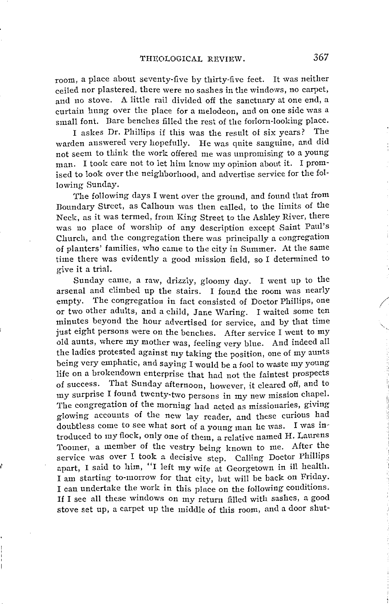room, a place about seventy-five by thirty-five feet. It was neither ceiled nor plastered, there were no sashes in the windows, no carpet, and no stove. A little rail divided off the sanctuary at one end, a curtain hung over the place for a melodeon, and on one side was a small font. Bare benches filled the rest of the forlorn-looking place.

I askes Dr. Phillips if this was the result of six years? The warden answered very hopefully. He was quite sanguine, and did not seem to think the work offered me was unpromising to a young man. I took care not to let him know my opinion about it. I promised to look over the neighborhood, and advertise service for the following Sunday.

The following days I went over the ground, and found that from Boundary Street, as Calhoun was then called, to the limits of the Neck, as it was termed, from King Street to the Ashley River, there was no place of worship of any description except Saint Paul's Church, and the congregation there was principally a congregation of planters' families, who came to the city in Summer. At the same time there was evidently a good mission field, so I determined to give it a trial.

Sunday came, a raw, drizzly, gloomy day. I went up to the arsenal and climbed up the stairs. I found the room was nearly empty. The congregation in fact consisted of Doctor Phillips, one or two other adults, and a child, Jane Waring. I waited some ten minutes beyond the hour advertised for service, and by that time just eight persons were on the benches. After service I went to my old aunts, where my mother was, feeling very blue. And indeed all the ladies protested against my taking the position, one of my aunts being very emphatic, and saying I would be a fool to waste my young life on a brokendown enterprise that had not the faintest prospects of success. That Sunday afternoon, however, it cleared off, and to my surprise I found twenty-two persons in my new mission chapel. The congregation of the morning had acted as missionaries, giving glowing accounts of the new lay reader, and these curious had doubtless come to see what sort of a young man he was. I was introduced to my flock, only one of them, a relative named II. Laurens Toomer, a member of the vestry being known to me. After the service was over I took a decisive step. Calling Doctor Phillips apart, I said to him, "I left my wife at Georgetown in ill health. I am starting to-morrow for that city, but will be back on Friday. I can undertake the work in this place on the following conditions. If I see all these windows on my return filled with sashes, a good stove set up, a carpet up the middle of this room, and a door shut-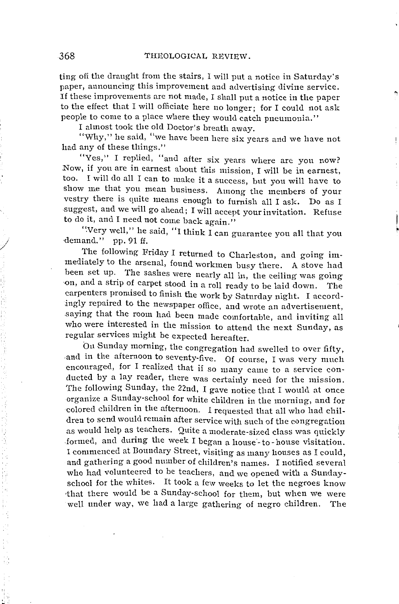ting off the draught from the stairs, I will put a notice in Saturday's paper, announcing this improvement and advertising divine service. If these improvements are not made, I shall put a notice in the paper to the effect that I will officiate here no longer; for I could not ask people to come to a place where they would catch pneumonia.''

I almost took the old Doctor's breath away.

"Why," he said, "we have been here six years and we have not had any of these things."

"Yes," I replied, "and after six years where are you now? Now, if you are in earnest about this mission, I will be in earnest, too. I will do all I can to make it a success, but you will have to show me that you mean business. Among the members of your vestry there is quite means enough to furnish all I ask. Do as I suggest, and we will go ahead; I will accept your invitation. Refuse to do it, and I need not come back again."

".Very well," he said, "I think I can guarantee you all that you ·demand." pp. 91 ff.

The following Friday I returned to Charleston, and going immediately to the arsenal, found workmen busy there. A stove had been set up. The sashes were nearly all in, the ceiling was going on, and a strip of carpet stood in a roll ready to be laid down. The carpenters promised to finish the work by Saturday night. I accordingly repaired to the newspaper office, and wrote an advertisement, saying that the room had been made comfortable, and inviting all who were interested in the mission to attend the next Sunday, as regular services might be expected hereafter.

On Sunday morning, the congregation had swelled to over fifty, -and in the afternoon to seventy-five. Of course, I was very much encouraged, for I realized that if so many came to a service conducted by a lay reader, there was certainly need for the mission. The following Sunday, the 22nd, I gave notice that I would at once organize a Sunday-school for white children in the morning, and for colored children in the afternoon. I requested that all who had children to send would remain after service with such of the congregation as would help as teachers. Quite a moderate-sized class was quickly .formed, and during the week I began a house·-to-house visitation. I commenced at Boundary Street, visiting as many houses as I could, and gathering a good number of children's names. I notified several who had volunteered to be teachers, and we opened with a Sundayschool for the whites. It took a few weeks to let the negroes know ·that there would be a Sunday-school for them, but when we were we11 under way, we had a large gathering of negro children. The

 $\mathscr{S}$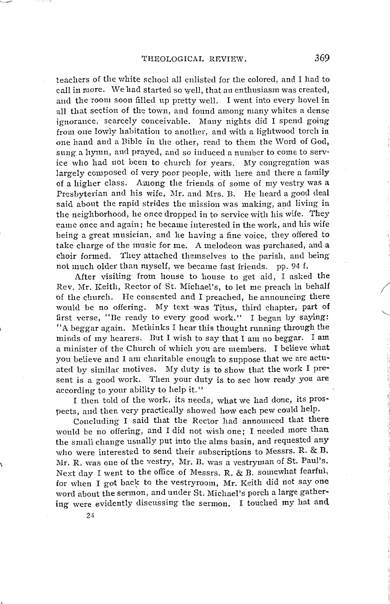teachers of the white school all enlisted for the colored, and I had to call in more. We had started so well, that an enthusiasm was created, and the room soon filled up pretty well. I went into every hovel in all that section of the town, and found among many whites a dense ignorance, scarcely conceivable. Many nights did I spend going from one lowly habitation to another, and with a lightwood torch in one hand and a Bible in the other, read to them the Word of God, sung a hymn, and prayed, and so induced a number to come to service who had not been to church for years. My congregation was largely composed of very poor people, with here and there a family of a higher class. Among the friends of some of my vestry was a Presbyterian and his wife, Mr. and Mrs. B. He heard a good deal said about the rapid strides the mission was making, and living in the neighborhood, he once dropped in to service with his wife. They came once and again; he became interested in the work, and his wife being a great musician, and he having a fine voice, they offered to take charge of the music for me. A melodeon was purchased, and a choir formed. They attached themselves to the parish, and being not much older than myself, we became fast friends. pp. 94 f.

After visiting from house to house to get aid, I asked the Rev. Mr. Keith, Rector of St. Michael's, to let me preach in behalf of the church. He consented and I preached, he announcing there would be no offering. My text was Titus, third chapter, part of first verse, "Be ready to every good work." I began by saying: "A beggar again. Methinks I hear this thought running through the minds of my hearers. But I wish to say that I am no beggar. I am a minister of the Church of which you are members. I believe what you believe and I am charitable enough to suppose that we are actuated by similar motives. My duty is to show that the work I present is a good work. Then your duty is to see how ready you are according to your ability to help it.''

I then told of the work, its needs, what we had done, its prospects, and then very practically showed how each pew could help.

Concluding I said that the Rector had announced that there would be no offering, and I did not wish one; I needed more than the small change usually put into the alms basin, and requested any who were interested to send their subscriptions to Messrs. R. & B. Mr. R. was one of the vestry, Mr. B. was a vestryman of St. Paul's. Next day I went to the office of Messrs. R. & B. somewhat fearful, for when I got back to the vestryroom, Mr. Keith did not say one word about the sermon, and under St. Michael's porch a large gathering were evidently discussing the sermon. I touched my hat and

24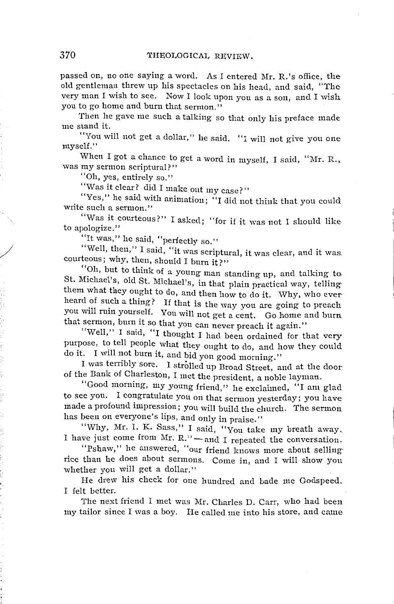passed on, no one saying a word. As I entered Mr. R. 's office, the old gentleman threw up his spectacles on his head, and said, "The very man I wish to see. Now I look upon you as a son, and I wish you to go home and burn that sermon.''

Then he gave me such a talking so that only his preface made me stand it.

"You will not get a dollar," he said. "I will not give you one myself.''

When I got a chance to get a word in myself, I said, "Mr. R., was my sermon scriptural?"

"Oh, yes, entirely so."

"Was it clear? did I make out my case?"

"Yes," he said with animation; "I did not think that you could write such a sermon.''

"Was it courteous?" I asked; "for if it was not I should liketo apologize."

"It was," he said, "perfectly so."

"Well, then," I said, "it was scriptural, it was clear, and it was. courteous; why, then, should I burn it?"

"Oh, but to think of a young man standing up, and talking to St. Michael's, old St. Michael's, in that plain practical way, telling them what they ought to do, and then how to do it. Why, who everheard of such a thing? If that is the way you are going to preach you will ruin yourself. You will not get a cent. Go home and burn that sermon, burn it so that you can never preach it again.''

"Well," I said, "I thought I had been ordained for that very purpose, to tell people what they ought to do, and how they could do it. I will not burn it, and bid you good morning."

I was terribly sore. I strolled up Broad Street, and at the door of the Bank of Charleston, I met the president, a noble layman.

"Good morning, my young friend," he exclaimed, "I am glad to see you. I congratulate you on that sermon yesterday; you have made a profound impression; you will build the church. The sermon has been on everyone's lips, and only in praise."

"Why, Mr. I. K. Sass," I said, "You take my breath away. I have just come from Mr. R." - and I repeated the conversation.

"Pshaw," he answered, "our friend knows more about sellingrice than he does about sermons. Come in, and I will show you whether you will get a dollar."

He drew his check for one hundred and bade me Godspeed. I felt better.

The next friend I met was Mr. Charles D. Carr, who had been my tailor since I was a boy. He called me into his store, and came

/

Î. į.